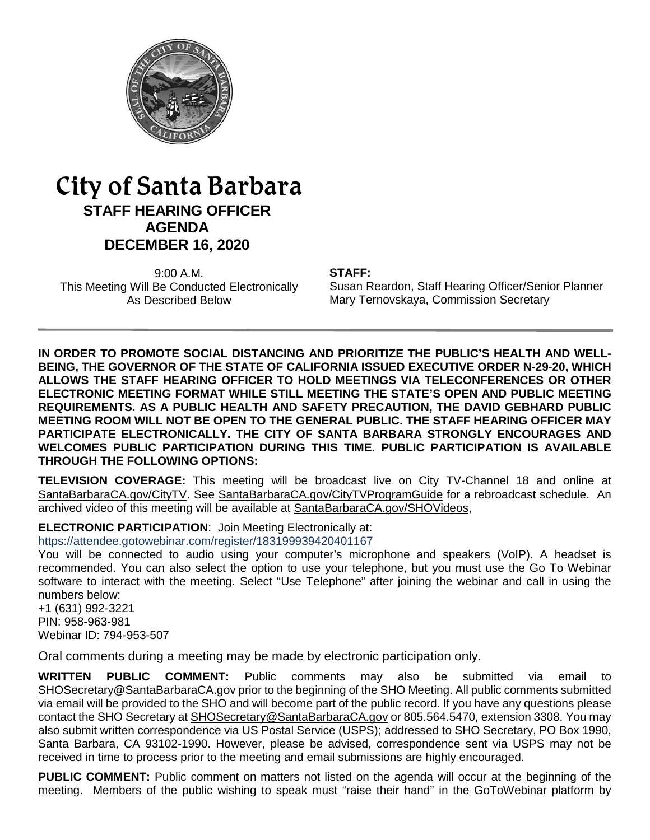

# City of Santa Barbara **STAFF HEARING OFFICER AGENDA DECEMBER 16, 2020**

9:00 A.M. This Meeting Will Be Conducted Electronically As Described Below

#### **STAFF:**

Susan Reardon, Staff Hearing Officer/Senior Planner Mary Ternovskaya, Commission Secretary

**IN ORDER TO PROMOTE SOCIAL DISTANCING AND PRIORITIZE THE PUBLIC'S HEALTH AND WELL-BEING, THE GOVERNOR OF THE STATE OF CALIFORNIA ISSUED EXECUTIVE ORDER N-29-20, WHICH ALLOWS THE STAFF HEARING OFFICER TO HOLD MEETINGS VIA TELECONFERENCES OR OTHER ELECTRONIC MEETING FORMAT WHILE STILL MEETING THE STATE'S OPEN AND PUBLIC MEETING REQUIREMENTS. AS A PUBLIC HEALTH AND SAFETY PRECAUTION, THE DAVID GEBHARD PUBLIC MEETING ROOM WILL NOT BE OPEN TO THE GENERAL PUBLIC. THE STAFF HEARING OFFICER MAY PARTICIPATE ELECTRONICALLY. THE CITY OF SANTA BARBARA STRONGLY ENCOURAGES AND WELCOMES PUBLIC PARTICIPATION DURING THIS TIME. PUBLIC PARTICIPATION IS AVAILABLE THROUGH THE FOLLOWING OPTIONS:**

**TELEVISION COVERAGE:** This meeting will be broadcast live on City TV-Channel 18 and online at [SantaBarbaraCA.gov/CityTV.](http://www.santabarbaraca.gov/CityTV) See [SantaBarbaraCA.gov/CityTVProgramGuide](http://www.santabarbaraca.gov/CityTVProgramGuide) for a rebroadcast schedule. An archived video of this meeting will be available at [SantaBarbaraCA.gov/SHOVideos,](http://www.santabarbaraca.gov/SHOVideos)

**ELECTRONIC PARTICIPATION**: Join Meeting Electronically at:

<https://attendee.gotowebinar.com/register/183199939420401167>

You will be connected to audio using your computer's microphone and speakers (VoIP). A headset is recommended. You can also select the option to use your telephone, but you must use the Go To Webinar software to interact with the meeting. Select "Use Telephone" after joining the webinar and call in using the numbers below:

+1 (631) 992-3221 PIN: 958-963-981 Webinar ID: 794-953-507

Oral comments during a meeting may be made by electronic participation only.

**WRITTEN PUBLIC COMMENT:** Public comments may also be submitted via email to [SHOSecretary@SantaBarbaraCA.gov](mailto:SHOSecretary@SantaBarbaraCA.gov) prior to the beginning of the SHO Meeting. All public comments submitted via email will be provided to the SHO and will become part of the public record. If you have any questions please contact the SHO Secretary a[t SHOSecretary@SantaBarbaraCA.gov](mailto:SHOSecretary@SantaBarbaraCA.gov) or 805.564.5470, extension 3308. You may also submit written correspondence via US Postal Service (USPS); addressed to SHO Secretary, PO Box 1990, Santa Barbara, CA 93102-1990. However, please be advised, correspondence sent via USPS may not be received in time to process prior to the meeting and email submissions are highly encouraged.

**PUBLIC COMMENT:** Public comment on matters not listed on the agenda will occur at the beginning of the meeting. Members of the public wishing to speak must "raise their hand" in the GoToWebinar platform by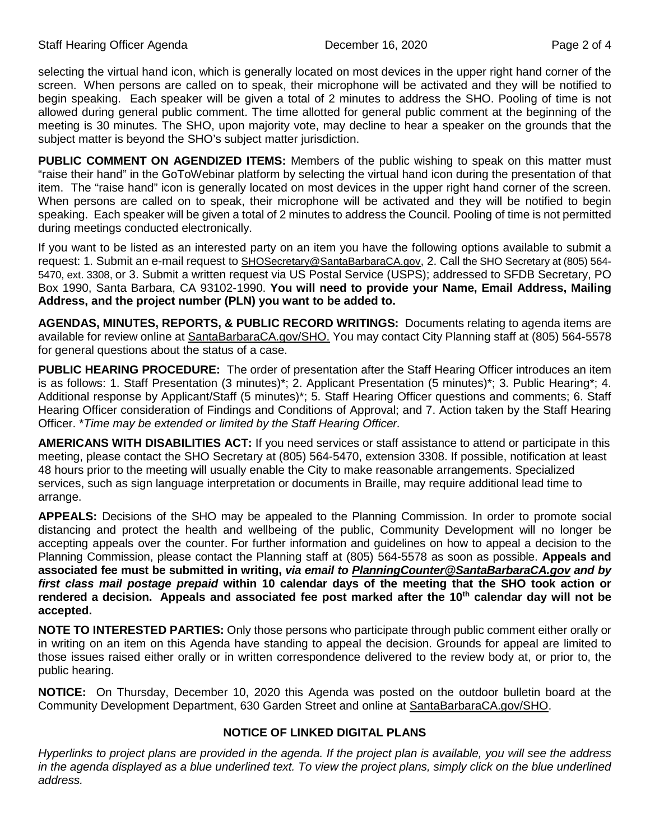selecting the virtual hand icon, which is generally located on most devices in the upper right hand corner of the screen. When persons are called on to speak, their microphone will be activated and they will be notified to begin speaking. Each speaker will be given a total of 2 minutes to address the SHO. Pooling of time is not allowed during general public comment. The time allotted for general public comment at the beginning of the meeting is 30 minutes. The SHO, upon majority vote, may decline to hear a speaker on the grounds that the subject matter is beyond the SHO's subject matter jurisdiction.

**PUBLIC COMMENT ON AGENDIZED ITEMS:** Members of the public wishing to speak on this matter must "raise their hand" in the GoToWebinar platform by selecting the virtual hand icon during the presentation of that item. The "raise hand" icon is generally located on most devices in the upper right hand corner of the screen. When persons are called on to speak, their microphone will be activated and they will be notified to begin speaking. Each speaker will be given a total of 2 minutes to address the Council. Pooling of time is not permitted during meetings conducted electronically.

If you want to be listed as an interested party on an item you have the following options available to submit a request: 1. Submit an e-mail request to [SHOSecretary@SantaBarbaraCA.gov,](mailto:SHOSecretary@SantaBarbaraCA.gov) 2. Call the SHO Secretary at (805) 564-5470, ext. 3308, or 3. Submit a written request via US Postal Service (USPS); addressed to SFDB Secretary, PO Box 1990, Santa Barbara, CA 93102-1990. **You will need to provide your Name, Email Address, Mailing Address, and the project number (PLN) you want to be added to.**

**AGENDAS, MINUTES, REPORTS, & PUBLIC RECORD WRITINGS:** Documents relating to agenda items are available for review online at [SantaBarbaraCA.gov/SHO.](http://www.santabarbaraca.gov/SHO) You may contact City Planning staff at (805) 564-5578 for general questions about the status of a case.

**PUBLIC HEARING PROCEDURE:** The order of presentation after the Staff Hearing Officer introduces an item is as follows: 1. Staff Presentation (3 minutes)\*; 2. Applicant Presentation (5 minutes)\*; 3. Public Hearing\*; 4. Additional response by Applicant/Staff (5 minutes)\*; 5. Staff Hearing Officer questions and comments; 6. Staff Hearing Officer consideration of Findings and Conditions of Approval; and 7. Action taken by the Staff Hearing Officer. \**Time may be extended or limited by the Staff Hearing Officer.*

**AMERICANS WITH DISABILITIES ACT:** If you need services or staff assistance to attend or participate in this meeting, please contact the SHO Secretary at (805) 564-5470, extension 3308. If possible, notification at least 48 hours prior to the meeting will usually enable the City to make reasonable arrangements. Specialized services, such as sign language interpretation or documents in Braille, may require additional lead time to arrange.

**APPEALS:** Decisions of the SHO may be appealed to the Planning Commission. In order to promote social distancing and protect the health and wellbeing of the public, Community Development will no longer be accepting appeals over the counter. For further information and guidelines on how to appeal a decision to the Planning Commission, please contact the Planning staff at (805) 564-5578 as soon as possible. **Appeals and associated fee must be submitted in writing,** *via email to [PlanningCounter@SantaBarbaraCA.gov](mailto:PlanningCounter@SantaBarbaraCA.gov) and by first class mail postage prepaid* **within 10 calendar days of the meeting that the SHO took action or rendered a decision. Appeals and associated fee post marked after the 10th calendar day will not be accepted.** 

**NOTE TO INTERESTED PARTIES:** Only those persons who participate through public comment either orally or in writing on an item on this Agenda have standing to appeal the decision. Grounds for appeal are limited to those issues raised either orally or in written correspondence delivered to the review body at, or prior to, the public hearing.

**NOTICE:** On Thursday, December 10, 2020 this Agenda was posted on the outdoor bulletin board at the Community Development Department, 630 Garden Street and online at [SantaBarbaraCA.gov/SHO.](http://www.santabarbaraca.gov/SHO)

#### **NOTICE OF LINKED DIGITAL PLANS**

*Hyperlinks to project plans are provided in the agenda. If the project plan is available, you will see the address in the agenda displayed as a blue underlined text. To view the project plans, simply click on the blue underlined address.*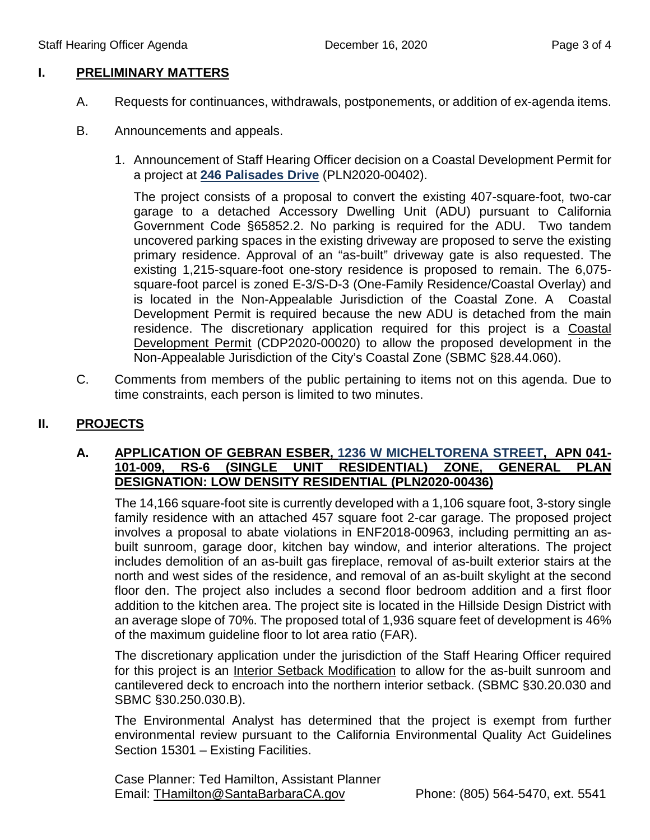## **I. PRELIMINARY MATTERS**

- A. Requests for continuances, withdrawals, postponements, or addition of ex-agenda items.
- B. Announcements and appeals.
	- 1. Announcement of Staff Hearing Officer decision on a Coastal Development Permit for a project at **[246 Palisades Drive](https://www.santabarbaraca.gov/SBdocuments/Advisory_Groups/Staff_Hearing_Officer/Archive/2020_Archives/03_Architectural_Drawings/2020-12-16_December%20_16_2020_246_Palisades_Dr.pdf)** (PLN2020-00402).

The project consists of a proposal to convert the existing 407-square-foot, two-car garage to a detached Accessory Dwelling Unit (ADU) pursuant to California Government Code §65852.2. No parking is required for the ADU. Two tandem uncovered parking spaces in the existing driveway are proposed to serve the existing primary residence. Approval of an "as-built" driveway gate is also requested. The existing 1,215-square-foot one-story residence is proposed to remain. The 6,075 square-foot parcel is zoned E-3/S-D-3 (One-Family Residence/Coastal Overlay) and is located in the Non-Appealable Jurisdiction of the Coastal Zone. A Coastal Development Permit is required because the new ADU is detached from the main residence. The discretionary application required for this project is a Coastal Development Permit (CDP2020-00020) to allow the proposed development in the Non-Appealable Jurisdiction of the City's Coastal Zone (SBMC §28.44.060).

C. Comments from members of the public pertaining to items not on this agenda. Due to time constraints, each person is limited to two minutes.

# **II. PROJECTS**

## **A. APPLICATION OF GEBRAN ESBER, [1236 W MICHELTORENA STREET,](https://www.santabarbaraca.gov/SBdocuments/Advisory_Groups/Staff_Hearing_Officer/Archive/2020_Archives/03_Architectural_Drawings/2020-12-16_December%20_16_2020_1236_W_Micheltorena_St_Revised_Plans.pdf) APN 041- 20NE, GENERAL PLAN DESIGNATION: LOW DENSITY RESIDENTIAL (PLN2020-00436)**

The 14,166 square-foot site is currently developed with a 1,106 square foot, 3-story single family residence with an attached 457 square foot 2-car garage. The proposed project involves a proposal to abate violations in ENF2018-00963, including permitting an asbuilt sunroom, garage door, kitchen bay window, and interior alterations. The project includes demolition of an as-built gas fireplace, removal of as-built exterior stairs at the north and west sides of the residence, and removal of an as-built skylight at the second floor den. The project also includes a second floor bedroom addition and a first floor addition to the kitchen area. The project site is located in the Hillside Design District with an average slope of 70%. The proposed total of 1,936 square feet of development is 46% of the maximum guideline floor to lot area ratio (FAR).

The discretionary application under the jurisdiction of the Staff Hearing Officer required for this project is an Interior Setback Modification to allow for the as-built sunroom and cantilevered deck to encroach into the northern interior setback. (SBMC §30.20.030 and SBMC §30.250.030.B).

The Environmental Analyst has determined that the project is exempt from further environmental review pursuant to the California Environmental Quality Act Guidelines Section 15301 – Existing Facilities.

Case Planner: Ted Hamilton, Assistant Planner Email: [THamilton@SantaBarbaraCA.gov](mailto:THamilton@SantaBarbaraCA.gov) Phone: (805) 564-5470, ext. 5541